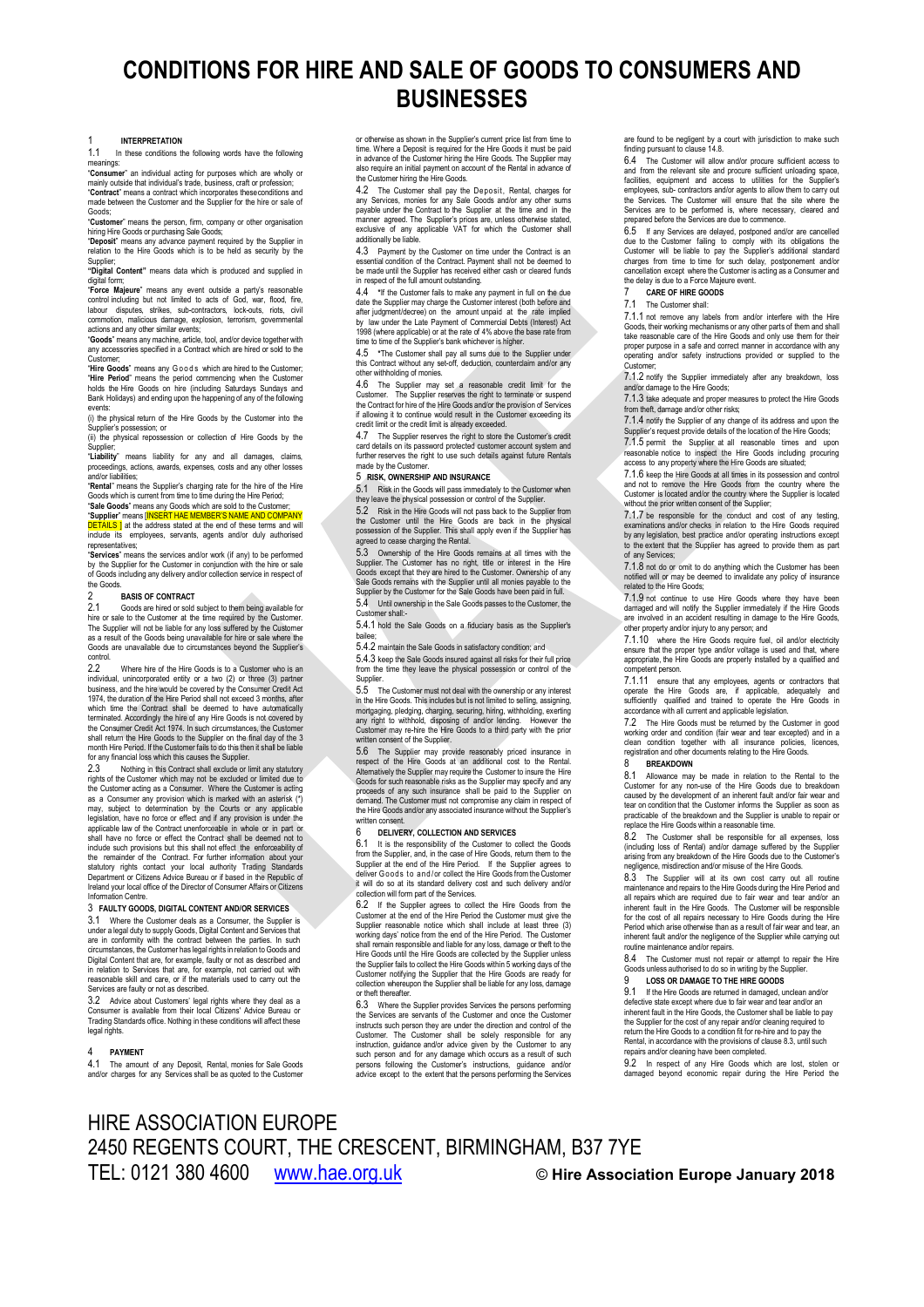# **CONDITIONS FOR HIRE AND SALE OF GOODS TO CONSUMERS AND BUSINESSES**

1 **INTERPRETATION** In these conditions the following words have the following

meanings:<br>Consumi mer" an individual acting for purposes which are wholly or mainly outside that individual's trade, business, craft or profession; "**Contract**" means a contract which incorporates theseconditions and

made between the Customer and the Supplier for the hire or sale of Goods; "**Customer**" means the person, firm, company or other organisation

hiring Hire Goods or purchasing Sale Goods; "**Deposit**" means any advance payment required by the Supplier in

relation to the Hire Goods which is to be held as security by the Supplier; **"Digital Content"** means data which is produced and supplied in

digital form;<br>"Force Majeure" means any event outside a party's reasonable<br>control including but not limited to acts of God, war, flood, fire,<br>labour disputes, strikes, sub-contractors, lock-outs, riots, civil<br>commotion, m

actions and any other similar events;<br>"**Goods**" means any machine, article, tool, and/or device together with<br>any accessories specified in a Contract which are hired or sold to the

Customer; "**Hire Goods**" means any Goods which are hired to the Customer; "**Hire Period**" means the period commencing when the Customer holds the Hire Goods on hire (including Saturdays Sundays and Bank Holidays) and ending upon the happening of any of the following

events: (i) the physical return of the Hire Goods by the Customer into the Supplier's possession; or (ii) the physical repossession or collection of Hire Goods by the

"Liability" means liability for any and all damages, claims, "**Liability**" means liability for any and all damages, claims, proceedings, actions, awards, expenses, costs and any other losses and/or liabilities;

"**Rental**" means the Supplier's charging rate for the hire of the Hire<br>Goods which is current from time to time during the Hire Period;<br>"**Sale Goods**" means any Goods which are sold to the Customer;<br>**"Supplier**" means [<mark>IN</mark>

 $\frac{1}{2}$  at the address stated at the end of these terms and will include its employees, servants, agents and/or duly authorised representatives;

"**Services**" means the services and/or work (if any) to be performed by the Supplier for the Customer in conjunction with the hire or sale of Goods including any delivery and/or collection service in respect of

## the Goods 2 **BASIS OF CONTRACT**

2.1 Goods are hired or sold subject to them being available for hire or sale to the Customer at the time required by the Customer. The Supplier will not be liable for any loss suffered by the Customer as a result of the Goods being unavailable for hire or sale where the Goods are unavailable due to circumstances beyond the Supplier's contro<br>2.2

Where hire of the Hire Goods is to a Customer who is an individual, unincorporated entity or a two (2) or three (3) partner business, and the hire would be covered by the Consumer Credit Act 1974, the duration of the Hire Period shall not exceed 3 months, after which time the Contract shall be deemed to have automatically terminated. Accordingly the hire of any Hire Goods is not covered by the Consumer Credit Act 1974. In such circumstances, the Customer shall return the Hire Goods to the Supplier on the final day of the 3 month Hire Period. If the Customer fails to do this then it shall be liable for any financial loss which this causes the Supplier.

2.3 Nothing in this Contract shall exclude or limit any statutory rights of the Customer which may not be excluded or limited due to the Customer acting as a Consumer. Where the Customer is acting as a Consumer any provision which is marked with an asterisk (\*)<br>may, subject to determination by the Courts or any applicable<br>legislation, have no force or effect and if any provision is under the<br>applicable law of the Co shall have no force or effect the Contract shall be deemed not to include such provisions but this shall not effect, the enforceability of<br>the remainder of the Contract. For further information about your<br>statutory rights contact your local authority Trading Standards<br>Department or Citiz Ireland your local office of the Director of Consumer Affairs or Citizens Information Centre.

### 3 **FAULTY GOODS, DIGITAL CONTENT AND/OR SERVICES**

3.1 Where the Customer deals as a Consumer, the Supplier is under a legal duty to supply Goods, Digital Content and Services that are in conformity with the contract between the parties. In such circumstances, the Customer has legal rights in relation to Goods and Digital Content that are, for example, faulty or not as described and in relation to Services that are, for example, not carried out with reasonable skill and care, or if the materials used to carry out the Services are faulty or not as described.

3.2 Advice about Customers' legal rights where they deal as a Consumer is available from their local Citizens' Advice Bureau or Trading Standards office. Nothing in these conditions will affect these legal rights.

## 4 **PAYMENT**

The amount of any Deposit, Rental, monies for Sale Goods and/or charges for any Services shall be as quoted to the Customer

or otherwise as shown in the Supplier's current price list from time to time. Where a Deposit is required for the Hire Goods it must be paid in advance of the Customer hiring the Hire Goods. The Supplier may also require an initial payment on account of the Rental in advance of the Customer hiring the Hire Goods.

<span id="page-0-1"></span>4.2 The Customer shall pay the Deposit, Rental, charges for any Services, monies for any Sale Goods and/or any other sums payable under the Contract to the Supplier at the time and in the manner agreed. The Supplier's prices are, unless otherwise stated, exclusive of any applicable VAT for which the Customer shall additionally be liable.

4.3 Payment by the Customer on time under the Contract is an essential condition of the Contract. Payment shall not be deemed to be made until the Supplier has received either cash or cleared funds in respect of the full amount outstanding.

<span id="page-0-2"></span>4.4 **\***If the Customer fails to make any payment in full on the due date the Supplier may charge the Customer interest (both before and after judgment/decree) on the amount unpaid at the rate implied by law under the Late Payment of Commercial Debts (Interest) Act 1998 (where applicable) or at the rate of 4% above the base rate from time to time of the Supplier's bank whichever is higher.

<span id="page-0-3"></span>4.5 **\***The Customer shall pay all sums due to the Supplier under this Contract without any set-off, deduction, counterclaim and/or any other withholding of monies.

4.6 The Supplier may set a reasonable credit limit for the Customer. The Supplier reserves the right to terminate or suspend the Contract for hire Gondard of the Hire Goods and/or the provision of Services if allowing it t

4.7 The Supplier reserves the right to store the Customer's credit card details on its password protected customer account system and further reserves the right to use such details against future Rentals made by the Customer

5 **RISK, OWNERSHIP AND INSURANCE** 5.1 Risk in the Goods will pass immediately to the Customer when

they leave the physical possession or control of the Supplier. 5.2 Risk in the Hire Goods will not pass back to the Supplier from the Customer until the Hire Goods are back in the physical possession of the Supplier. This shall apply even if the Supplier has agreed to cease charging the Rental.

5.3 Ownership of the Hire Goods remains at all times with the Supplier. The Customer has no right, title or interest in the Hire Goods except that they are hired to the Customer. Ownership of any Sale Goods remains with the Supplier until all monies payable to the Supplier by the Customer for the Sale Goods have been paid in full.

5.4 Until ownership in the Sale Goods passes to the Customer, the Customer shall:- 5.4.1 hold the Sale Goods on a fiduciary basis as the Supplier's

bailee; 5.4.2 maintain the Sale Goods in satisfactory condition; and

5.4.3 keep the Sale Goods insured against all risks for their full price from the time they leave the physical possession or control of the Supplier.

5.5 The Customer must not deal with the ownership or any interest in the Hire Goods. This includes but is not limited to selling, assigning, mortgaging, pledging, charging, securing, hiring, withholding, exerting any right to withhold, disposing of and/or lending. However the Customer may re-hire the Hire Goods to a third party with the prior ritten consent of the Supplier

5.6 The Supplier may provide reasonably priced insurance in respect of the Hire Goods at an additional cost to the Rental. Alternatively the Supplier may require the Customer to insure the Hire Goods for such reasonable risks as the Supplier may specify and any proceeds of any such insurance shall be paid to the Supplier on demand. The Customer must not compromise any claim in respect of the Hire Goods and/or any associated insurance without the Supplier's written consent

### 6 **DELIVERY, COLLECTION AND SERVICES**

6.1 It is the responsibility of the Customer to collect the Goods from the Supplier, and, in the case of Hire Goods, return them to the Supplier at the end of the Hire Period. If the Supplier agrees to deliver Goods to and/ or collect the Hire Goods fromthe Customer it will do so at its standard delivery cost and such delivery and/or collection will form part of the Services.

6.2 If the Supplier agrees to collect the Hire Goods from the Customer at the end of the Hire Period the Customer must give the Supplier reasonable notice which shall include at least three (3) working days' notice from the end of the Hire Period. The Customer shall remain responsible and liable for any loss, damage or theft to the Hire Goods until the Hire Goods are collected by the Supplier unless the Supplier fails to collect the Hire Goods within 5 working days of the Customer notifying the Supplier that the Hire Goods are ready for collection whereupon the Supplier shall be liable for any loss, damage or theft thereafter.

6.3 Where the Supplier provides Services the persons performing the Services are servants of the Customer and once the Customer instructs such person they are under the direction and control of the Customer. The Customer shall be solely responsible for any<br>instruction, guidance and/or advice given by the Customer to any<br>such person and for any damage which occurs as a result of such<br>persons following the Customer's i advice except to the extent that the persons performing the Services

are found to be negligent by a court with jurisdiction to make such finding pursuant to claus[e 14.8.](#page-1-0)

6.4 The Customer will allow and/or procure sufficient access to and from the relevant site and procure sufficient unloading space, facilities, equipment and access to utilities for the Supplier's employees, sub-contractors and/or agents to allow them to carry out<br>the Services. The Customer will ensure that the site where the<br>Services are to be performed is, where necessary, cleared and<br>prepared before the Services

 $6.5$  If any Services are delayed, postponed and/or are cancelled due to the Customer failing to comply with its obligations the due to the Customer failing to comply with its obligations the<br>Customer will be liable to pay the Supplier's additional standard<br>charges from time to time for such delay, postponement and/or<br>cancellation except where the C the delay is due to a Force Majeure event.

## <span id="page-0-4"></span>7 **CARE OF HIRE GOODS**

### The Customer shall:

7.1.1 not remove any labels from and/or interfere with the Hire Goods, their working mechanisms or any other parts of them and shall take reasonable care of the Hire Goods and only use them for their proper purpose in a safe and correct manner in accordance with any and/or safety instructions provided or supplied to the oporatmig<br>Customer

7.1.2 notify the Supplier immediately after any breakdown, loss and/or damage to the Hire Goods;

7.1.3 take adequate and proper measures to protect the Hire Goods from the discrimed and/or other risks;

7.1.4 notify the Supplier of any change of its address and upon the Supplier's request provide details of the location of the Hire Goods; 7.1.5 permit the Supplier at all reasonable times and upon reasonable notice to inspect the Hire Goods including procuring access to any property where the Hire Goods are situated;

7.1.6 keep the Hire Goods at all times in its possession and control and not to remove the Hire Goods from the country where the Customer is located and/or the country where the Supplier is located without the prior written consent of the Supplier;

7.1.7 be responsible for the conduct and cost of any testing, examinations and/or checks in relation to the Hire Goods required by any legislation, best practice and/or operating instructions except to the extent that the Supplier has agreed to provide them as part of any Services;

7.1.8 not do or omit to do anything which the Customer has been notified will or may be deemed to invalidate any policy of insurance related to the Hire Goods;

7.1.9 not continue to use Hire Goods where they have been damaged and will notify the Supplier immediately if the Hire Goods are involved in an accident resulting in damage to the Hire Goods, other property and/or injury to any person; and

7.1.10 where the Hire Goods require fuel, oil and/or electricity ensure that the proper type and/or voltage is used and that, where appropriate, the Hire Goods are properly installed by a qualified and competent person.<br>7 1 11 ensure

7.1.11 ensure that any employees, agents or contractors that operate the Hire Goods are, if applicable, adequately and sufficiently qualified and trained to operate the Hire Goods in accordance with all current and applicable legislation.

7.2 The Hire Goods must be returned by the Customer in good working order and condition (fair wear and tear excepted) and in a clean condition together with all insurance policies, licences, registration and other documents relating to the Hire Goods.

## 8 **BREAKDOWN**

<span id="page-0-5"></span>8.1 Allowance may be made in relation to the Rental to the Customer for any non-use of the Hire Goods due to breakdown caused by the development of an inherent fault and/or fair wear and caused by the development of an inherent fault and/or fair wear and<br>tear on condition that the Customer informs the Supplier as soon as<br>practicable of the breakdown and the Supplier is unable to repair or<br>replace the Hire

The Customer shall be responsible for all expenses, loss (including loss of Rental) and/or damage suffered by the Supplier arising from any breakdown of the Hire Goods due to the Customer's negligence, misdirection and/or misuse of the Hire Goods.

8.3 The Supplier will at its own cost carry out all routine maintenance and repairs to the Hire Goods during the Hire Period and all repairs which are required due to fair wear and tear and/or an inherent fault in the Hire Goods. The Customer will be responsible for the cost of all repairs necessary to Hire Goods during the Hire Period which arise otherwise than as a result of fair wear and tear, an inherent fault and/or the negligence of the Supplier while carrying out routine maintenance and/or repairs.

8.4 The Customer must not repair or attempt to repair the Hire Goods unless authorised to do so in writing by the Supplier.<br>Q BOOD DAMAGE TO THE HIDE COODS 9 **LOSS OR DAMAGE TO THE HIRE GOODS**

<span id="page-0-6"></span>9.1 If the Hire Goods are returned in damaged, unclean and/or defective state except where due to fair wear and tear and/or an inherent fault in the Hire Goods, the Customer shall be liable to pay the Supplier for the cost of any repair and/or cleaning required to return the Hire Goods to a condition fit for re-hire and to pay the Rental, in accordance with the provisions of clause 8.3, until such repairs and/or cleaning have been completed.

<span id="page-0-0"></span>9.2 In respect of any Hire Goods which are lost, stolen or damaged beyond economic repair during the Hire Period the

## HIRE ASSOCIATION EUROPE 2450 REGENTS COURT, THE CRESCENT, BIRMINGHAM, B37 7YE TEL: 0121 380 4600 [www.hae.org.uk](http://www.hae.org.uk/) © **Hire Association Europe January 2018**